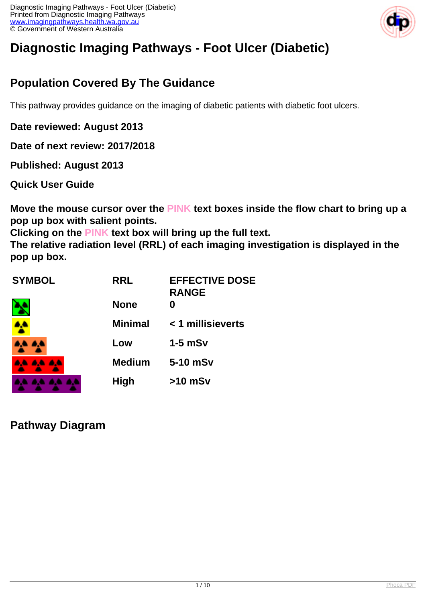

# **Diagnostic Imaging Pathways - Foot Ulcer (Diabetic)**

# **Population Covered By The Guidance**

This pathway provides guidance on the imaging of diabetic patients with diabetic foot ulcers.

**Date reviewed: August 2013**

**Date of next review: 2017/2018**

**Published: August 2013** 

**Quick User Guide**

**Move the mouse cursor over the PINK text boxes inside the flow chart to bring up a pop up box with salient points.**

**Clicking on the PINK text box will bring up the full text.**

**The relative radiation level (RRL) of each imaging investigation is displayed in the pop up box.**

| <b>SYMBOL</b> | <b>RRL</b>     | <b>EFFECTIVE DOSE</b><br><b>RANGE</b> |
|---------------|----------------|---------------------------------------|
|               | <b>None</b>    |                                       |
|               | <b>Minimal</b> | < 1 millisieverts                     |
|               | Low            | $1-5$ mSv                             |
| 4A 4A         | <b>Medium</b>  | 5-10 mSv                              |
|               | <b>High</b>    | $>10$ mSv                             |

**Pathway Diagram**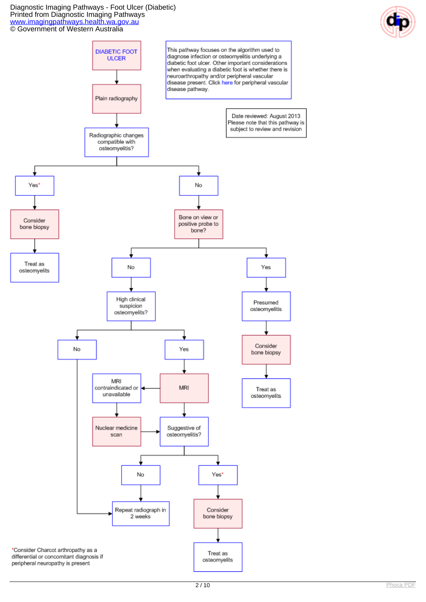#### Diagnostic Imaging Pathways - Foot Ulcer (Diabetic) Printed from Diagnostic Imaging Pathways [www.imagingpathways.health.wa.gov.au](http://www.imagingpathways.health.wa.gov.au/) © Government of Western Australia



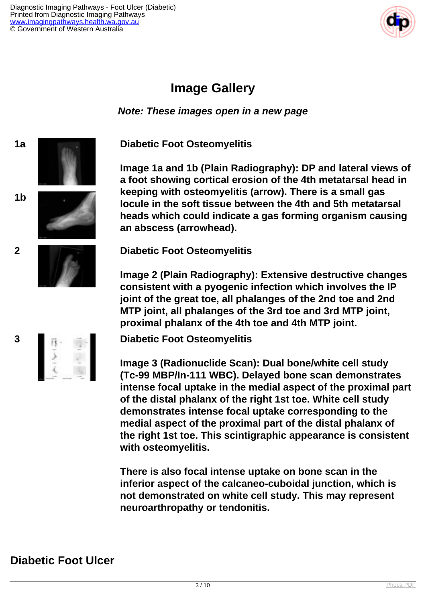

# **Image Gallery**

**Note: These images open in a new page**

**1a Diabetic Foot Osteomyelitis**

**Image 1a and 1b (Plain Radiography): DP and lateral views of a foot showing cortical erosion of the 4th metatarsal head in keeping with osteomyelitis (arrow). There is a small gas locule in the soft tissue between the 4th and 5th metatarsal heads which could indicate a gas forming organism causing an abscess (arrowhead).**

**2 Diabetic Foot Osteomyelitis**

**Image 2 (Plain Radiography): Extensive destructive changes consistent with a pyogenic infection which involves the IP joint of the great toe, all phalanges of the 2nd toe and 2nd MTP joint, all phalanges of the 3rd toe and 3rd MTP joint, proximal phalanx of the 4th toe and 4th MTP joint.**



**1b**

**3 Diabetic Foot Osteomyelitis**

**Image 3 (Radionuclide Scan): Dual bone/white cell study (Tc-99 MBP/In-111 WBC). Delayed bone scan demonstrates intense focal uptake in the medial aspect of the proximal part of the distal phalanx of the right 1st toe. White cell study demonstrates intense focal uptake corresponding to the medial aspect of the proximal part of the distal phalanx of the right 1st toe. This scintigraphic appearance is consistent with osteomyelitis.**

**There is also focal intense uptake on bone scan in the inferior aspect of the calcaneo-cuboidal junction, which is not demonstrated on white cell study. This may represent neuroarthropathy or tendonitis.**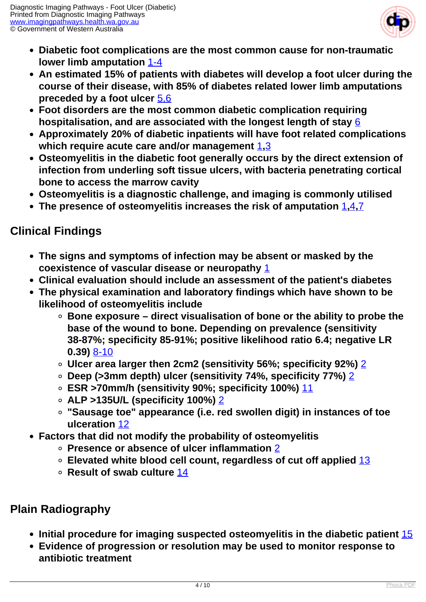

- **Diabetic foot complications are the most common cause for non-traumatic lower limb amputation** [1-4](index.php/imaging-pathways/musculoskeletal-trauma/musculoskeletal/diabetic-foot-ulcer?tab=references#1)
- **An estimated 15% of patients with diabetes will develop a foot ulcer during the course of their disease, with 85% of diabetes related lower limb amputations preceded by a foot ulcer** [5,6](index.php/imaging-pathways/musculoskeletal-trauma/musculoskeletal/diabetic-foot-ulcer?tab=references#5)
- **Foot disorders are the most common diabetic complication requiring hospitalisation, and are associated with the longest length of stay** [6](index.php/imaging-pathways/musculoskeletal-trauma/musculoskeletal/diabetic-foot-ulcer?tab=references#6)
- **Approximately 20% of diabetic inpatients will have foot related complications which require acute care and/or management** [1](index.php/imaging-pathways/musculoskeletal-trauma/musculoskeletal/diabetic-foot-ulcer?tab=references#1)**,**[3](index.php/imaging-pathways/musculoskeletal-trauma/musculoskeletal/diabetic-foot-ulcer?tab=references#3)
- **Osteomyelitis in the diabetic foot generally occurs by the direct extension of infection from underling soft tissue ulcers, with bacteria penetrating cortical bone to access the marrow cavity**
- **Osteomyelitis is a diagnostic challenge, and imaging is commonly utilised**
- **The presence of osteomyelitis increases the risk of amputation** [1](index.php/imaging-pathways/musculoskeletal-trauma/musculoskeletal/diabetic-foot-ulcer?tab=references#1)**,**[4](index.php/imaging-pathways/musculoskeletal-trauma/musculoskeletal/diabetic-foot-ulcer?tab=references#4)**,**[7](index.php/imaging-pathways/musculoskeletal-trauma/musculoskeletal/diabetic-foot-ulcer?tab=references#7)

### **Clinical Findings**

- **The signs and symptoms of infection may be absent or masked by the coexistence of vascular disease or neuropathy** [1](index.php/imaging-pathways/musculoskeletal-trauma/musculoskeletal/diabetic-foot-ulcer?tab=references#1)
- **Clinical evaluation should include an assessment of the patient's diabetes**
- **The physical examination and laboratory findings which have shown to be likelihood of osteomyelitis include**
	- **Bone exposure direct visualisation of bone or the ability to probe the base of the wound to bone. Depending on prevalence (sensitivity 38-87%; specificity 85-91%; positive likelihood ratio 6.4; negative LR 0.39)** [8-10](index.php/imaging-pathways/musculoskeletal-trauma/musculoskeletal/diabetic-foot-ulcer?tab=references#8)
	- **Ulcer area larger then 2cm2 (sensitivity 56%; specificity 92%)** [2](index.php/imaging-pathways/musculoskeletal-trauma/musculoskeletal/diabetic-foot-ulcer?tab=references#2)
	- **Deep (>3mm depth) ulcer (sensitivity 74%, specificity 77%)** [2](index.php/imaging-pathways/musculoskeletal-trauma/musculoskeletal/diabetic-foot-ulcer?tab=references#2)
	- **ESR >70mm/h (sensitivity 90%; specificity 100%)** [11](index.php/imaging-pathways/musculoskeletal-trauma/musculoskeletal/diabetic-foot-ulcer?tab=References#11)
	- **ALP >135U/L (specificity 100%)** [2](index.php/imaging-pathways/musculoskeletal-trauma/musculoskeletal/diabetic-foot-ulcer?tab=references#2)
	- **"Sausage toe" appearance (i.e. red swollen digit) in instances of toe ulceration** [12](index.php/imaging-pathways/musculoskeletal-trauma/musculoskeletal/diabetic-foot-ulcer?tab=references#12)
- **Factors that did not modify the probability of osteomyelitis**
	- **Presence or absence of ulcer inflammation** [2](index.php/imaging-pathways/musculoskeletal-trauma/musculoskeletal/diabetic-foot-ulcer?tab=references#2)
	- **Elevated white blood cell count, regardless of cut off applied** [13](index.php/imaging-pathways/musculoskeletal-trauma/musculoskeletal/diabetic-foot-ulcer?tab=references#13)
	- **Result of swab culture** [14](index.php/imaging-pathways/musculoskeletal-trauma/musculoskeletal/diabetic-foot-ulcer?tab=references#14)

# **Plain Radiography**

- **Initial procedure for imaging suspected osteomyelitis in the diabetic patient** [15](index.php/imaging-pathways/musculoskeletal-trauma/musculoskeletal/diabetic-foot-ulcer?tab=references#15)
- **Evidence of progression or resolution may be used to monitor response to antibiotic treatment**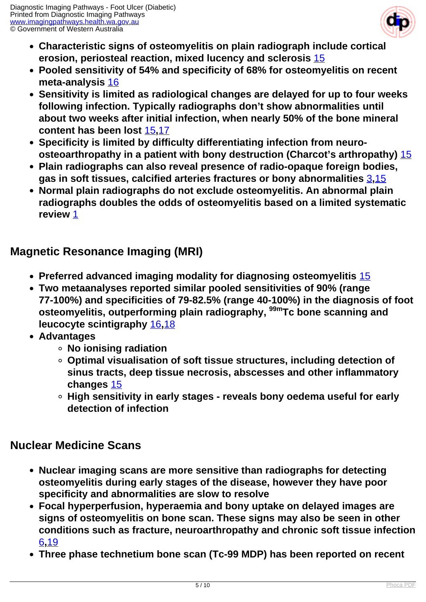

- **Characteristic signs of osteomyelitis on plain radiograph include cortical erosion, periosteal reaction, mixed lucency and sclerosis** [15](index.php/imaging-pathways/musculoskeletal-trauma/musculoskeletal/diabetic-foot-ulcer?tab=references#15)
- **Pooled sensitivity of 54% and specificity of 68% for osteomyelitis on recent meta-analysis** [16](index.php/imaging-pathways/musculoskeletal-trauma/musculoskeletal/diabetic-foot-ulcer?tab=references#16)
- **Sensitivity is limited as radiological changes are delayed for up to four weeks following infection. Typically radiographs don't show abnormalities until about two weeks after initial infection, when nearly 50% of the bone mineral content has been lost** [15](index.php/imaging-pathways/musculoskeletal-trauma/musculoskeletal/diabetic-foot-ulcer?tab=references#15)**,**[17](index.php/imaging-pathways/musculoskeletal-trauma/musculoskeletal/diabetic-foot-ulcer?tab=references#17)
- **Specificity is limited by difficulty differentiating infection from neuroosteoarthropathy in a patient with bony destruction (Charcot's arthropathy)** [15](index.php/imaging-pathways/musculoskeletal-trauma/musculoskeletal/diabetic-foot-ulcer?tab=references#15)
- **Plain radiographs can also reveal presence of radio-opaque foreign bodies, gas in soft tissues, calcified arteries fractures or bony abnormalities** [3](index.php/imaging-pathways/musculoskeletal-trauma/musculoskeletal/diabetic-foot-ulcer?tab=references#3)**,**[15](index.php/imaging-pathways/musculoskeletal-trauma/musculoskeletal/diabetic-foot-ulcer?tab=references#15)
- **Normal plain radiographs do not exclude osteomyelitis. An abnormal plain radiographs doubles the odds of osteomyelitis based on a limited systematic review** [1](index.php/imaging-pathways/musculoskeletal-trauma/musculoskeletal/diabetic-foot-ulcer?tab=references#1)

### **Magnetic Resonance Imaging (MRI)**

- **Preferred advanced imaging modality for diagnosing osteomyelitis** [15](index.php/imaging-pathways/musculoskeletal-trauma/musculoskeletal/diabetic-foot-ulcer?tab=references#15)
- **Two metaanalyses reported similar pooled sensitivities of 90% (range 77-100%) and specificities of 79-82.5% (range 40-100%) in the diagnosis of foot osteomyelitis, outperforming plain radiography, 99mTc bone scanning and leucocyte scintigraphy** [16](index.php/imaging-pathways/musculoskeletal-trauma/musculoskeletal/diabetic-foot-ulcer?tab=references#16)**,**[18](index.php/imaging-pathways/musculoskeletal-trauma/musculoskeletal/diabetic-foot-ulcer?tab=references#18)
- **Advantages**
	- **No ionising radiation**
	- **Optimal visualisation of soft tissue structures, including detection of sinus tracts, deep tissue necrosis, abscesses and other inflammatory changes** [15](index.php/imaging-pathways/musculoskeletal-trauma/musculoskeletal/diabetic-foot-ulcer?tab=references#15)
	- **High sensitivity in early stages reveals bony oedema useful for early detection of infection**

#### **Nuclear Medicine Scans**

- **Nuclear imaging scans are more sensitive than radiographs for detecting osteomyelitis during early stages of the disease, however they have poor specificity and abnormalities are slow to resolve**
- **Focal hyperperfusion, hyperaemia and bony uptake on delayed images are signs of osteomyelitis on bone scan. These signs may also be seen in other conditions such as fracture, neuroarthropathy and chronic soft tissue infection** [6](index.php/imaging-pathways/musculoskeletal-trauma/musculoskeletal/diabetic-foot-ulcer?tab=references#6)**,**[19](index.php/imaging-pathways/musculoskeletal-trauma/musculoskeletal/diabetic-foot-ulcer?tab=references#19)
- **Three phase technetium bone scan (Tc-99 MDP) has been reported on recent**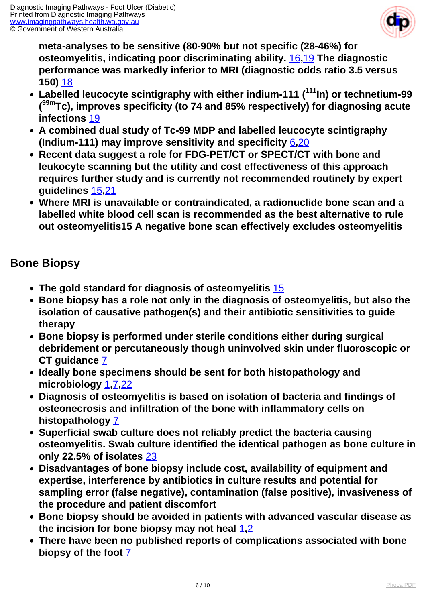

**meta-analyses to be sensitive (80-90% but not specific (28-46%) for osteomyelitis, indicating poor discriminating ability.** [16](index.php/imaging-pathways/musculoskeletal-trauma/musculoskeletal/diabetic-foot-ulcer?tab=references#16)**,**[19](index.php/imaging-pathways/musculoskeletal-trauma/musculoskeletal/diabetic-foot-ulcer?tab=references#19) **The diagnostic performance was markedly inferior to MRI (diagnostic odds ratio 3.5 versus 150)** [18](index.php/imaging-pathways/musculoskeletal-trauma/musculoskeletal/diabetic-foot-ulcer?tab=references#18)

- **Labelled leucocyte scintigraphy with either indium-111 (<sup>111</sup>In) or technetium-99 ( 99mTc), improves specificity (to 74 and 85% respectively) for diagnosing acute infections** [19](index.php/imaging-pathways/musculoskeletal-trauma/musculoskeletal/diabetic-foot-ulcer?tab=references#19)
- **A combined dual study of Tc-99 MDP and labelled leucocyte scintigraphy (Indium-111) may improve sensitivity and specificity** [6](index.php/imaging-pathways/musculoskeletal-trauma/musculoskeletal/diabetic-foot-ulcer?tab=references#6)**,**[20](index.php/imaging-pathways/musculoskeletal-trauma/musculoskeletal/diabetic-foot-ulcer?tab=references#20)
- **Recent data suggest a role for FDG-PET/CT or SPECT/CT with bone and leukocyte scanning but the utility and cost effectiveness of this approach requires further study and is currently not recommended routinely by expert guidelines** [15](index.php/imaging-pathways/musculoskeletal-trauma/musculoskeletal/diabetic-foot-ulcer?tab=references#15)**,**[21](index.php/imaging-pathways/musculoskeletal-trauma/musculoskeletal/diabetic-foot-ulcer?tab=references#21)
- **Where MRI is unavailable or contraindicated, a radionuclide bone scan and a labelled white blood cell scan is recommended as the best alternative to rule out osteomyelitis15 A negative bone scan effectively excludes osteomyelitis**

#### **Bone Biopsy**

- **The gold standard for diagnosis of osteomyelitis** [15](index.php/imaging-pathways/musculoskeletal-trauma/musculoskeletal/diabetic-foot-ulcer?tab=references#15)
- **Bone biopsy has a role not only in the diagnosis of osteomyelitis, but also the isolation of causative pathogen(s) and their antibiotic sensitivities to guide therapy**
- **Bone biopsy is performed under sterile conditions either during surgical debridement or percutaneously though uninvolved skin under fluoroscopic or CT guidance** [7](index.php/imaging-pathways/musculoskeletal-trauma/musculoskeletal/diabetic-foot-ulcer?tab=references#7)
- **Ideally bone specimens should be sent for both histopathology and microbiology** [1](index.php/imaging-pathways/musculoskeletal-trauma/musculoskeletal/diabetic-foot-ulcer?tab=references#1)**,**[7](index.php/imaging-pathways/musculoskeletal-trauma/musculoskeletal/diabetic-foot-ulcer?tab=references#7)**,**[22](index.php/imaging-pathways/musculoskeletal-trauma/musculoskeletal/diabetic-foot-ulcer?tab=references#22)
- **Diagnosis of osteomyelitis is based on isolation of bacteria and findings of osteonecrosis and infiltration of the bone with inflammatory cells on histopathology** [7](index.php/imaging-pathways/musculoskeletal-trauma/musculoskeletal/diabetic-foot-ulcer?tab=references#7)
- **Superficial swab culture does not reliably predict the bacteria causing osteomyelitis. Swab culture identified the identical pathogen as bone culture in only 22.5% of isolates** [23](index.php/imaging-pathways/musculoskeletal-trauma/musculoskeletal/diabetic-foot-ulcer?tab=references#23)
- **Disadvantages of bone biopsy include cost, availability of equipment and expertise, interference by antibiotics in culture results and potential for sampling error (false negative), contamination (false positive), invasiveness of the procedure and patient discomfort**
- **Bone biopsy should be avoided in patients with advanced vascular disease as the incision for bone biopsy may not heal** [1](index.php/imaging-pathways/musculoskeletal-trauma/musculoskeletal/diabetic-foot-ulcer?tab=references#1)**,**[2](index.php/imaging-pathways/musculoskeletal-trauma/musculoskeletal/diabetic-foot-ulcer?tab=references#2)
- **There have been no published reports of complications associated with bone biopsy of the foot** [7](index.php/imaging-pathways/musculoskeletal-trauma/musculoskeletal/diabetic-foot-ulcer?tab=references#7)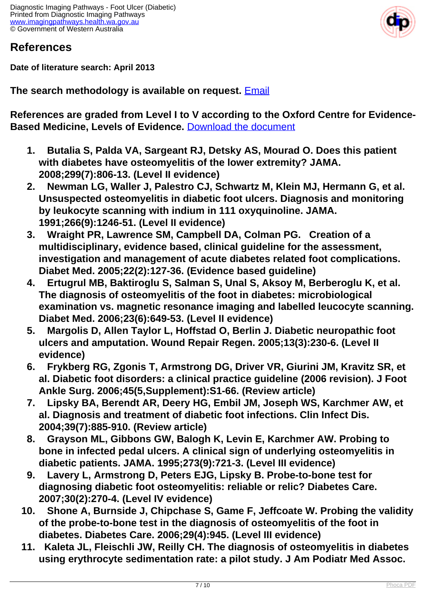

#### **References**

**Date of literature search: April 2013**

**The search methodology is available on request.** [Email](index.php/contact-us)

**References are graded from Level I to V according to the Oxford Centre for Evidence-Based Medicine, Levels of Evidence.** [Download the document](http://www.cebm.net/wp-content/uploads/2014/06/CEBM-Levels-of-Evidence-2.1.pdf)

- **1. Butalia S, Palda VA, Sargeant RJ, Detsky AS, Mourad O. Does this patient with diabetes have osteomyelitis of the lower extremity? JAMA. 2008;299(7):806-13. (Level II evidence)**
- **2. Newman LG, Waller J, Palestro CJ, Schwartz M, Klein MJ, Hermann G, et al. Unsuspected osteomyelitis in diabetic foot ulcers. Diagnosis and monitoring by leukocyte scanning with indium in 111 oxyquinoline. JAMA. 1991;266(9):1246-51. (Level II evidence)**
- **3. Wraight PR, Lawrence SM, Campbell DA, Colman PG. Creation of a multidisciplinary, evidence based, clinical guideline for the assessment, investigation and management of acute diabetes related foot complications. Diabet Med. 2005;22(2):127-36. (Evidence based guideline)**
- **4. Ertugrul MB, Baktiroglu S, Salman S, Unal S, Aksoy M, Berberoglu K, et al. The diagnosis of osteomyelitis of the foot in diabetes: microbiological examination vs. magnetic resonance imaging and labelled leucocyte scanning. Diabet Med. 2006;23(6):649-53. (Level II evidence)**
- **5. Margolis D, Allen Taylor L, Hoffstad O, Berlin J. Diabetic neuropathic foot ulcers and amputation. Wound Repair Regen. 2005;13(3):230-6. (Level II evidence)**
- **6. Frykberg RG, Zgonis T, Armstrong DG, Driver VR, Giurini JM, Kravitz SR, et al. Diabetic foot disorders: a clinical practice guideline (2006 revision). J Foot Ankle Surg. 2006;45(5,Supplement):S1-66. (Review article)**
- **7. Lipsky BA, Berendt AR, Deery HG, Embil JM, Joseph WS, Karchmer AW, et al. Diagnosis and treatment of diabetic foot infections. Clin Infect Dis. 2004;39(7):885-910. (Review article)**
- **8. Grayson ML, Gibbons GW, Balogh K, Levin E, Karchmer AW. Probing to bone in infected pedal ulcers. A clinical sign of underlying osteomyelitis in diabetic patients. JAMA. 1995;273(9):721-3. (Level III evidence)**
- **9. Lavery L, Armstrong D, Peters EJG, Lipsky B. Probe-to-bone test for diagnosing diabetic foot osteomyelitis: reliable or relic? Diabetes Care. 2007;30(2):270-4. (Level IV evidence)**
- **10. Shone A, Burnside J, Chipchase S, Game F, Jeffcoate W. Probing the validity of the probe-to-bone test in the diagnosis of osteomyelitis of the foot in diabetes. Diabetes Care. 2006;29(4):945. (Level III evidence)**
- **11. Kaleta JL, Fleischli JW, Reilly CH. The diagnosis of osteomyelitis in diabetes using erythrocyte sedimentation rate: a pilot study. J Am Podiatr Med Assoc.**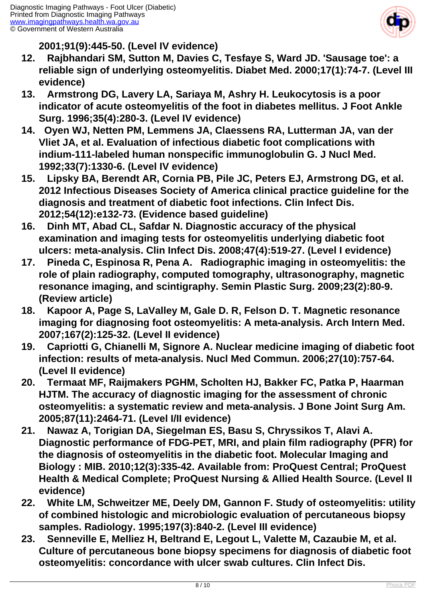

**2001;91(9):445-50. (Level IV evidence)**

- **12. Rajbhandari SM, Sutton M, Davies C, Tesfaye S, Ward JD. 'Sausage toe': a reliable sign of underlying osteomyelitis. Diabet Med. 2000;17(1):74-7. (Level III evidence)**
- **13. Armstrong DG, Lavery LA, Sariaya M, Ashry H. Leukocytosis is a poor indicator of acute osteomyelitis of the foot in diabetes mellitus. J Foot Ankle Surg. 1996;35(4):280-3. (Level IV evidence)**
- **14. Oyen WJ, Netten PM, Lemmens JA, Claessens RA, Lutterman JA, van der Vliet JA, et al. Evaluation of infectious diabetic foot complications with indium-111-labeled human nonspecific immunoglobulin G. J Nucl Med. 1992;33(7):1330-6. (Level IV evidence)**
- **15. Lipsky BA, Berendt AR, Cornia PB, Pile JC, Peters EJ, Armstrong DG, et al. 2012 Infectious Diseases Society of America clinical practice guideline for the diagnosis and treatment of diabetic foot infections. Clin Infect Dis. 2012;54(12):e132-73. (Evidence based guideline)**
- **16. Dinh MT, Abad CL, Safdar N. Diagnostic accuracy of the physical examination and imaging tests for osteomyelitis underlying diabetic foot ulcers: meta-analysis. Clin Infect Dis. 2008;47(4):519-27. (Level I evidence)**
- **17. Pineda C, Espinosa R, Pena A. Radiographic imaging in osteomyelitis: the role of plain radiography, computed tomography, ultrasonography, magnetic resonance imaging, and scintigraphy. Semin Plastic Surg. 2009;23(2):80-9. (Review article)**
- **18. Kapoor A, Page S, LaValley M, Gale D. R, Felson D. T. Magnetic resonance imaging for diagnosing foot osteomyelitis: A meta-analysis. Arch Intern Med. 2007;167(2):125-32. (Level II evidence)**
- **19. Capriotti G, Chianelli M, Signore A. Nuclear medicine imaging of diabetic foot infection: results of meta-analysis. Nucl Med Commun. 2006;27(10):757-64. (Level II evidence)**
- **20. Termaat MF, Raijmakers PGHM, Scholten HJ, Bakker FC, Patka P, Haarman HJTM. The accuracy of diagnostic imaging for the assessment of chronic osteomyelitis: a systematic review and meta-analysis. J Bone Joint Surg Am. 2005;87(11):2464-71. (Level I/II evidence)**
- **21. Nawaz A, Torigian DA, Siegelman ES, Basu S, Chryssikos T, Alavi A. Diagnostic performance of FDG-PET, MRI, and plain film radiography (PFR) for the diagnosis of osteomyelitis in the diabetic foot. Molecular Imaging and Biology : MIB. 2010;12(3):335-42. Available from: ProQuest Central; ProQuest Health & Medical Complete; ProQuest Nursing & Allied Health Source. (Level II evidence)**
- **22. White LM, Schweitzer ME, Deely DM, Gannon F. Study of osteomyelitis: utility of combined histologic and microbiologic evaluation of percutaneous biopsy samples. Radiology. 1995;197(3):840-2. (Level III evidence)**
- **23. Senneville E, Melliez H, Beltrand E, Legout L, Valette M, Cazaubie M, et al. Culture of percutaneous bone biopsy specimens for diagnosis of diabetic foot osteomyelitis: concordance with ulcer swab cultures. Clin Infect Dis.**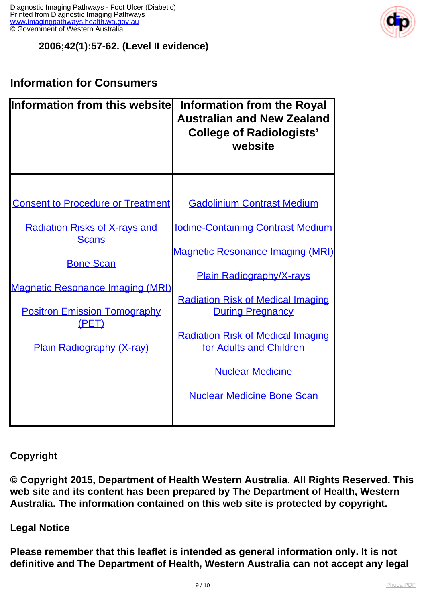

#### **2006;42(1):57-62. (Level II evidence)**

## **Information for Consumers**

| Information from this websitel                       | <b>Information from the Royal</b><br><b>Australian and New Zealand</b><br><b>College of Radiologists'</b><br>website |
|------------------------------------------------------|----------------------------------------------------------------------------------------------------------------------|
|                                                      |                                                                                                                      |
| <b>Consent to Procedure or Treatment</b>             | <b>Gadolinium Contrast Medium</b>                                                                                    |
| <b>Radiation Risks of X-rays and</b><br><b>Scans</b> | <b>Iodine-Containing Contrast Medium</b>                                                                             |
| <b>Bone Scan</b>                                     | <b>Magnetic Resonance Imaging (MRI)</b>                                                                              |
|                                                      | <b>Plain Radiography/X-rays</b>                                                                                      |
| <b>Magnetic Resonance Imaging (MRI)</b>              | <b>Radiation Risk of Medical Imaging</b>                                                                             |
| <b>Positron Emission Tomography</b><br>(PET)         | <b>During Pregnancy</b>                                                                                              |
| <b>Plain Radiography (X-ray)</b>                     | <b>Radiation Risk of Medical Imaging</b><br>for Adults and Children                                                  |
|                                                      | <b>Nuclear Medicine</b>                                                                                              |
|                                                      | <b>Nuclear Medicine Bone Scan</b>                                                                                    |
|                                                      |                                                                                                                      |

**Copyright**

**© Copyright 2015, Department of Health Western Australia. All Rights Reserved. This web site and its content has been prepared by The Department of Health, Western Australia. The information contained on this web site is protected by copyright.**

**Legal Notice**

**Please remember that this leaflet is intended as general information only. It is not definitive and The Department of Health, Western Australia can not accept any legal**